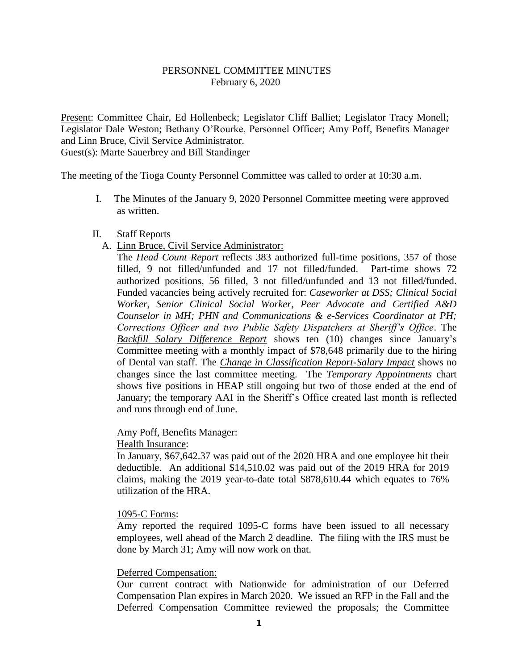### PERSONNEL COMMITTEE MINUTES February 6, 2020

Present: Committee Chair, Ed Hollenbeck; Legislator Cliff Balliet; Legislator Tracy Monell; Legislator Dale Weston; Bethany O'Rourke, Personnel Officer; Amy Poff, Benefits Manager and Linn Bruce, Civil Service Administrator. Guest(s): Marte Sauerbrey and Bill Standinger

The meeting of the Tioga County Personnel Committee was called to order at 10:30 a.m.

I. The Minutes of the January 9, 2020 Personnel Committee meeting were approved as written.

#### II. Staff Reports

A. Linn Bruce, Civil Service Administrator:

The *Head Count Report* reflects 383 authorized full-time positions, 357 of those filled, 9 not filled/unfunded and 17 not filled/funded. Part-time shows 72 authorized positions, 56 filled, 3 not filled/unfunded and 13 not filled/funded. Funded vacancies being actively recruited for: *Caseworker at DSS; Clinical Social Worker, Senior Clinical Social Worker, Peer Advocate and Certified A&D Counselor in MH; PHN and Communications & e-Services Coordinator at PH; Corrections Officer and two Public Safety Dispatchers at Sheriff's Office*. The *Backfill Salary Difference Report* shows ten (10) changes since January's Committee meeting with a monthly impact of \$78,648 primarily due to the hiring of Dental van staff. The *Change in Classification Report-Salary Impact* shows no changes since the last committee meeting. The *Temporary Appointments* chart shows five positions in HEAP still ongoing but two of those ended at the end of January; the temporary AAI in the Sheriff's Office created last month is reflected and runs through end of June.

#### Amy Poff, Benefits Manager:

#### Health Insurance:

In January, \$67,642.37 was paid out of the 2020 HRA and one employee hit their deductible. An additional \$14,510.02 was paid out of the 2019 HRA for 2019 claims, making the 2019 year-to-date total \$878,610.44 which equates to 76% utilization of the HRA.

#### 1095-C Forms:

Amy reported the required 1095-C forms have been issued to all necessary employees, well ahead of the March 2 deadline. The filing with the IRS must be done by March 31; Amy will now work on that.

#### Deferred Compensation:

Our current contract with Nationwide for administration of our Deferred Compensation Plan expires in March 2020. We issued an RFP in the Fall and the Deferred Compensation Committee reviewed the proposals; the Committee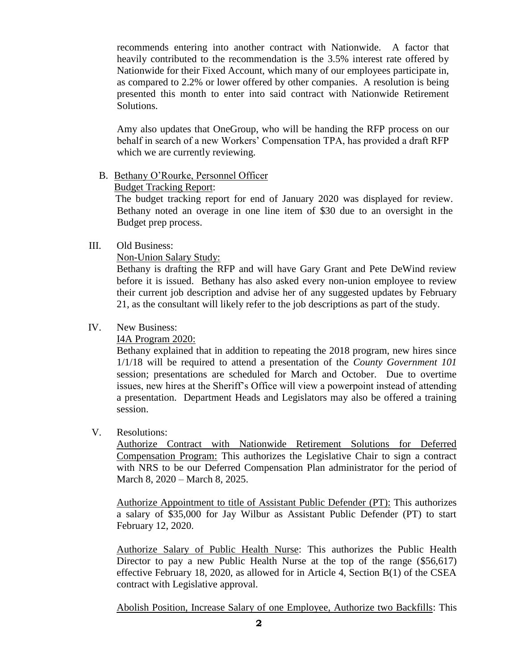recommends entering into another contract with Nationwide. A factor that heavily contributed to the recommendation is the 3.5% interest rate offered by Nationwide for their Fixed Account, which many of our employees participate in, as compared to 2.2% or lower offered by other companies. A resolution is being presented this month to enter into said contract with Nationwide Retirement Solutions.

Amy also updates that OneGroup, who will be handing the RFP process on our behalf in search of a new Workers' Compensation TPA, has provided a draft RFP which we are currently reviewing.

### B. Bethany O'Rourke, Personnel Officer

# Budget Tracking Report:

 The budget tracking report for end of January 2020 was displayed for review. Bethany noted an overage in one line item of \$30 due to an oversight in the Budget prep process.

# III. Old Business:

### Non-Union Salary Study:

Bethany is drafting the RFP and will have Gary Grant and Pete DeWind review before it is issued. Bethany has also asked every non-union employee to review their current job description and advise her of any suggested updates by February 21, as the consultant will likely refer to the job descriptions as part of the study.

# IV. New Business:

# I4A Program 2020:

Bethany explained that in addition to repeating the 2018 program, new hires since 1/1/18 will be required to attend a presentation of the *County Government 101* session; presentations are scheduled for March and October. Due to overtime issues, new hires at the Sheriff's Office will view a powerpoint instead of attending a presentation. Department Heads and Legislators may also be offered a training session.

# V. Resolutions:

Authorize Contract with Nationwide Retirement Solutions for Deferred Compensation Program: This authorizes the Legislative Chair to sign a contract with NRS to be our Deferred Compensation Plan administrator for the period of March 8, 2020 – March 8, 2025.

Authorize Appointment to title of Assistant Public Defender (PT): This authorizes a salary of \$35,000 for Jay Wilbur as Assistant Public Defender (PT) to start February 12, 2020.

Authorize Salary of Public Health Nurse: This authorizes the Public Health Director to pay a new Public Health Nurse at the top of the range (\$56,617) effective February 18, 2020, as allowed for in Article 4, Section B(1) of the CSEA contract with Legislative approval.

Abolish Position, Increase Salary of one Employee, Authorize two Backfills: This